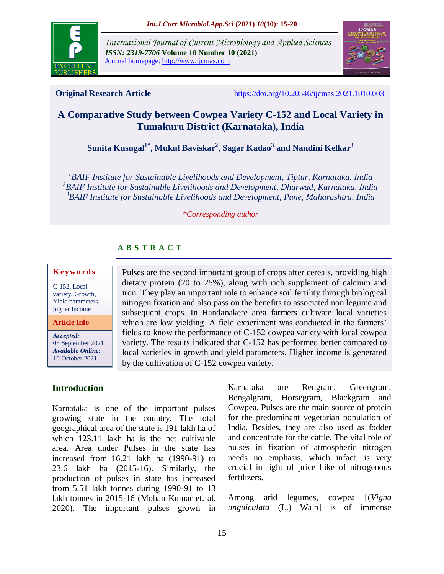

*International Journal of Current Microbiology and Applied Sciences ISSN: 2319-7706* **Volume 10 Number 10 (2021)**  Journal homepage: http://www.ijcmas.com



**Original Research Article** <https://doi.org/10.20546/ijcmas.2021.1010.003>

# **A Comparative Study between Cowpea Variety C-152 and Local Variety in Tumakuru District (Karnataka), India**

**Sunita Kusugal1\* , Mukul Baviskar<sup>2</sup> , Sagar Kadao<sup>3</sup> and Nandini Kelkar<sup>3</sup>**

*1 BAIF Institute for Sustainable Livelihoods and Development, Tiptur, Karnataka, India 2 BAIF Institute for Sustainable Livelihoods and Development, Dharwad, Karnataka, India 3 BAIF Institute for Sustainable Livelihoods and Development, Pune, Maharashtra, India*

#### *\*Corresponding author*

# **A B S T R A C T**

#### **K ey w o rd s**

C-152, Local variety, Growth, Yield parameters, higher Income

**Article Info**

*Accepted:*  05 September 2021 *Available Online:* 10 October 2021

# **Introduction**

Karnataka is one of the important pulses growing state in the country. The total geographical area of the state is 191 lakh ha of which 123.11 lakh ha is the net cultivable area. Area under Pulses in the state has increased from 16.21 lakh ha (1990-91) to 23.6 lakh ha (2015-16). Similarly, the production of pulses in state has increased from 5.51 lakh tonnes during 1990-91 to 13 lakh tonnes in 2015-16 (Mohan Kumar et. al. 2020). The important pulses grown in

Pulses are the second important group of crops after cereals, providing high dietary protein (20 to 25%), along with rich supplement of calcium and iron. They play an important role to enhance soil fertility through biological nitrogen fixation and also pass on the benefits to associated non legume and subsequent crops. In Handanakere area farmers cultivate local varieties which are low yielding. A field experiment was conducted in the farmers' fields to know the performance of C-152 cowpea variety with local cowpea variety. The results indicated that C-152 has performed better compared to local varieties in growth and yield parameters. Higher income is generated by the cultivation of C-152 cowpea variety.

> Karnataka are Redgram, Greengram, Bengalgram, Horsegram, Blackgram and Cowpea. Pulses are the main source of protein for the predominant vegetarian population of India. Besides, they are also used as fodder and concentrate for the cattle. The vital role of pulses in fixation of atmospheric nitrogen needs no emphasis, which infact, is very crucial in light of price hike of nitrogenous fertilizers.

> Among arid legumes, cowpea [(*Vigna unguiculata* (L.) Walp] is of immense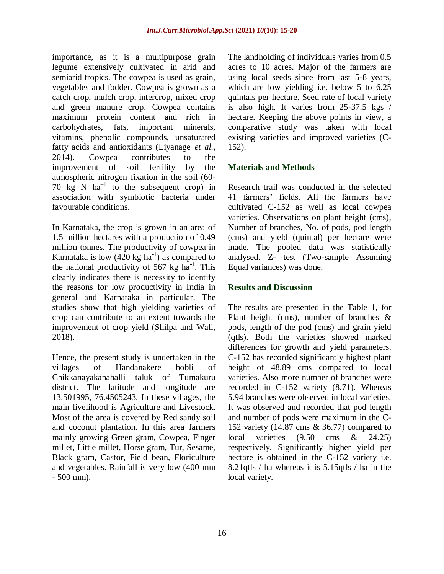importance, as it is a multipurpose grain legume extensively cultivated in arid and semiarid tropics. The cowpea is used as grain, vegetables and fodder. Cowpea is grown as a catch crop, mulch crop, intercrop, mixed crop and green manure crop. Cowpea contains maximum protein content and rich in carbohydrates, fats, important minerals, vitamins, phenolic compounds, unsaturated fatty acids and antioxidants (Liyanage *et al.,* 2014). Cowpea contributes to the improvement of soil fertility by the atmospheric nitrogen fixation in the soil (60- 70  $kg \text{ N}$  ha<sup>-1</sup> to the subsequent crop) in association with symbiotic bacteria under favourable conditions.

In Karnataka, the crop is grown in an area of 1.5 million hectares with a production of 0.49 million tonnes. The productivity of cowpea in Karnataka is low  $(420 \text{ kg ha}^{-1})$  as compared to the national productivity of 567 kg  $ha^{-1}$ . This clearly indicates there is necessity to identify the reasons for low productivity in India in general and Karnataka in particular. The studies show that high yielding varieties of crop can contribute to an extent towards the improvement of crop yield (Shilpa and Wali, 2018).

Hence, the present study is undertaken in the villages of Handanakere hobli of Chikkanayakanahalli taluk of Tumakuru district. The latitude and longitude are 13.501995, 76.4505243. In these villages, the main livelihood is Agriculture and Livestock. Most of the area is covered by Red sandy soil and coconut plantation. In this area farmers mainly growing Green gram, Cowpea, Finger millet, Little millet, Horse gram, Tur, Sesame, Black gram, Castor, Field bean, Floriculture and vegetables. Rainfall is very low (400 mm - 500 mm).

The landholding of individuals varies from 0.5 acres to 10 acres. Major of the farmers are using local seeds since from last 5-8 years, which are low yielding i.e. below 5 to 6.25 quintals per hectare. Seed rate of local variety is also high. It varies from 25-37.5 kgs / hectare. Keeping the above points in view, a comparative study was taken with local existing varieties and improved varieties (C-152).

## **Materials and Methods**

Research trail was conducted in the selected 41 farmers' fields. All the farmers have cultivated C-152 as well as local cowpea varieties. Observations on plant height (cms), Number of branches, No. of pods, pod length (cms) and yield (quintal) per hectare were made. The pooled data was statistically analysed. Z- test (Two-sample Assuming Equal variances) was done.

## **Results and Discussion**

The results are presented in the Table 1, for Plant height (cms), number of branches & pods, length of the pod (cms) and grain yield (qtls). Both the varieties showed marked differences for growth and yield parameters. C-152 has recorded significantly highest plant height of 48.89 cms compared to local varieties. Also more number of branches were recorded in C-152 variety (8.71). Whereas 5.94 branches were observed in local varieties. It was observed and recorded that pod length and number of pods were maximum in the C-152 variety (14.87 cms & 36.77) compared to local varieties (9.50 cms & 24.25) respectively. Significantly higher yield per hectare is obtained in the C-152 variety i.e. 8.21qtls / ha whereas it is 5.15qtls / ha in the local variety.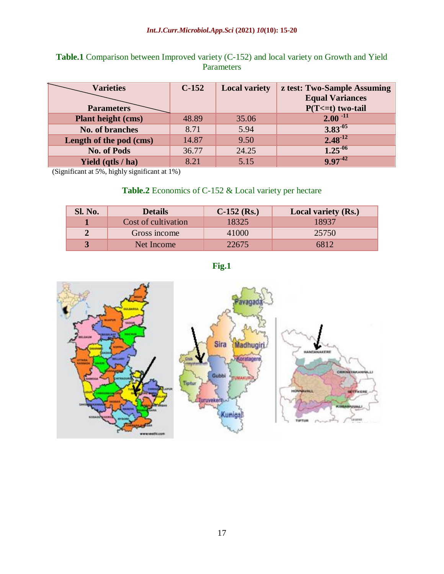# **Table.1** Comparison between Improved variety (C-152) and local variety on Growth and Yield Parameters

| <b>Varieties</b><br><b>Parameters</b> | $C-152$ | <b>Local variety</b> | z test: Two-Sample Assuming<br><b>Equal Variances</b><br>$P(T \le t)$ two-tail |
|---------------------------------------|---------|----------------------|--------------------------------------------------------------------------------|
| Plant height (cms)                    | 48.89   | 35.06                | $2.00^{-11}$                                                                   |
| No. of branches                       | 8.71    | 5.94                 | $3.83^{05}$                                                                    |
| Length of the pod (cms)               | 14.87   | 9.50                 | $2.48^{-12}$                                                                   |
| <b>No. of Pods</b>                    | 36.77   | 24.25                | $1.25^{06}$                                                                    |
| Yield (qtls / ha)                     | 8.21    | 5.15                 | $9.97^{42}$                                                                    |

(Significant at 5%, highly significant at 1%)

## **Table.2** Economics of C-152 & Local variety per hectare

| Sl. No.        | <b>Details</b>      | $C-152$ (Rs.) | <b>Local variety (Rs.)</b> |
|----------------|---------------------|---------------|----------------------------|
|                | Cost of cultivation | 18325         | 18937                      |
| $\overline{2}$ | Gross income        | 41000         | 25750                      |
|                | Net Income          | 22675         | 6812                       |

**Fig.1**

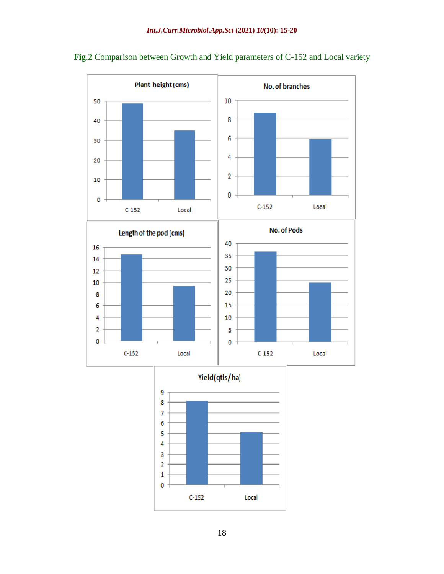

**Fig.2** Comparison between Growth and Yield parameters of C-152 and Local variety



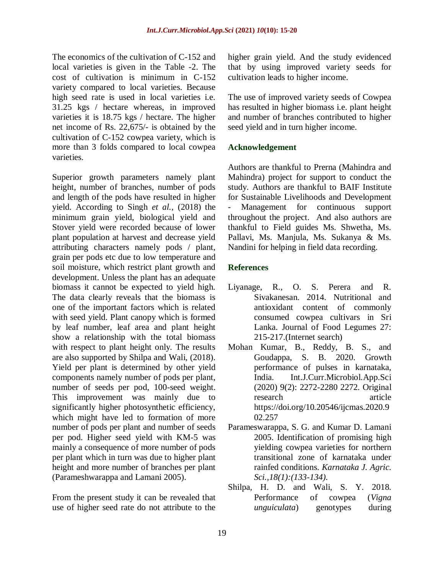The economics of the cultivation of C-152 and local varieties is given in the Table -2. The cost of cultivation is minimum in C-152 variety compared to local varieties. Because high seed rate is used in local varieties i.e. 31.25 kgs / hectare whereas, in improved varieties it is 18.75 kgs / hectare. The higher net income of Rs. 22,675/- is obtained by the cultivation of C-152 cowpea variety, which is more than 3 folds compared to local cowpea varieties.

Superior growth parameters namely plant height, number of branches, number of pods and length of the pods have resulted in higher yield. According to Singh *et al.,* (2018) the minimum grain yield, biological yield and Stover yield were recorded because of lower plant population at harvest and decrease yield attributing characters namely pods / plant, grain per pods etc due to low temperature and soil moisture, which restrict plant growth and development. Unless the plant has an adequate biomass it cannot be expected to yield high. The data clearly reveals that the biomass is one of the important factors which is related with seed yield. Plant canopy which is formed by leaf number, leaf area and plant height show a relationship with the total biomass with respect to plant height only. The results are also supported by Shilpa and Wali, (2018). Yield per plant is determined by other yield components namely number of pods per plant, number of seeds per pod, 100-seed weight. This improvement was mainly due to significantly higher photosynthetic efficiency, which might have led to formation of more number of pods per plant and number of seeds per pod. Higher seed yield with KM-5 was mainly a consequence of more number of pods per plant which in turn was due to higher plant height and more number of branches per plant (Parameshwarappa and Lamani 2005).

From the present study it can be revealed that use of higher seed rate do not attribute to the

higher grain yield. And the study evidenced that by using improved variety seeds for cultivation leads to higher income.

The use of improved variety seeds of Cowpea has resulted in higher biomass i.e. plant height and number of branches contributed to higher seed yield and in turn higher income.

## **Acknowledgement**

Authors are thankful to Prerna (Mahindra and Mahindra) project for support to conduct the study. Authors are thankful to BAIF Institute for Sustainable Livelihoods and Development Management for continuous support throughout the project. And also authors are thankful to Field guides Ms. Shwetha, Ms. Pallavi, Ms. Manjula, Ms. Sukanya & Ms. Nandini for helping in field data recording.

## **References**

- Liyanage, R., O. S. Perera and R. Sivakanesan. 2014. Nutritional and antioxidant content of commonly consumed cowpea cultivars in Sri Lanka. Journal of Food Legumes 27: 215-217.(Internet search)
- Mohan Kumar, B., Reddy, B. S., and Goudappa, S. B. 2020. Growth performance of pulses in karnataka, India. Int.J.Curr.Microbiol.App.Sci (2020) 9(2): 2272-2280 2272. Original research article https://doi.org/10.20546/ijcmas.2020.9 02.257
- Parameswarappa, S. G. and Kumar D. Lamani 2005. Identification of promising high yielding cowpea varieties for northern transitional zone of karnataka under rainfed conditions. *Karnataka J. Agric. Sci.,18(1):(133-134)*.
- Shilpa, H. D. and Wali, S. Y. 2018. Performance of cowpea (*Vigna unguiculata*) genotypes during